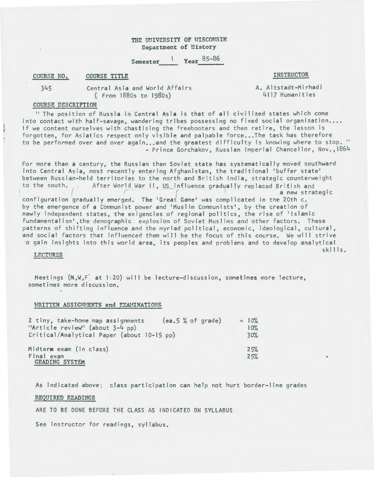# THE UNIVERSITY OF WISCONSIN Department of History

Semester <sup>1</sup> Year 85-86

COURSE NO. COURSE TITLE **EXECUTE AND SERVICT OF A COURSE TITLE** 

345 Central Asia and World Affairs ( From 1880s to 19SOs)

A. Altstadt-Mirhadi 4117 Humanities

# COUP.SE DESCRIPTION

11 The position of Russia in Central Asia is that of all civilized states which come into contact with half-savage, wandering tribes possessing no fixed social organization.... If we content ourselves with chastising the freebooters and then retire, the lesson is forgotten, for Asiatics respect only visible and palpable force...The task has therefore to be performed over and over again...and the greatest difficulty is knowing where to stop. " - Prince Gorchakov, Russian Imperial Chancellor, Nov., 1864

For more than a century, the Russian then Soviet state has systematically moved southward into Central Asia, most recently entering Afghanistan, the traditional 'buffer state' between Russian-held territories to the north and British India, strategic counterweight to the south. After World War II, US influence gradually replaced British and a new strategic configuration gradually emerged. The 'Great Game' was complicated in the 20th c. by the emergence of a Communist power and 'Muslim Communists', by the creation of newly independent states, the exigencies of regional politics, the rise of <sup>1</sup> lslamic

fundamentalism• ,the demographic explosion of Soviet Muslims and other factors. These patterns of shifting influence and the myriad political, economic, ideological, cultural, and social factors that influenced them will be the focus of this course. We will strive o gain insights into this world area, its peoples and problems and to develop analytical skills.

## LECTURES

Meetings  $(M, W, F)$  at 1:20) will be lecture-discussion, sometimes more lecture, sometimes more discussion.

## WRITTEN ASSIGNMENTS and EXAMINATIONS

| 2 tiny, take-home map assignments<br>"Article review" (about 3-4 pp) | (ea.5 % of grade) | $= 10%$<br>10% |
|----------------------------------------------------------------------|-------------------|----------------|
| Critical/Analytical Paper (about 10-15 pp)                           |                   | 30%            |
| Midterm exam (in class)                                              |                   | 25%            |
| Final exam<br><b>GRADING SYSTEM</b>                                  |                   | 25%            |

As indicated above; class participation can help not hurt border-line grades

# REQUIRED READINGS

ARE TO BE DONE BEFORE THE CLASS AS INDICATED ON SYLLABUS

See instructor for readings, syllabus.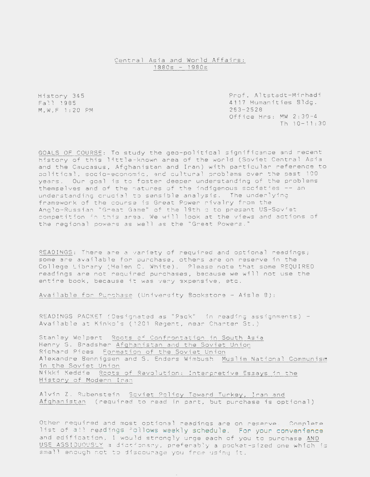# Central Asia and World Affairs:  $1880s - 1980s$

History 345 Fall 1985 M, W, F 1:20 PM Prof. Altstadt-Mirhadi 4117 Humanities Bldg. 263-2528 Office Hrs: MW 2:30-4  $Th 10-11:30$ 

GOALS OF COURSF: To study the geo-political significance and recent history of this little-known area of the world (Soviet Central Asia and the Caucasus, Afghanistan and Iran) with particular reference to political, socio-economic, and cultural problems over the past 100 years. Our goal is to foster deeper understanding of the problems themselves and of the natures of the indigenous societies -- an understanding crucial to sensible analysis. The underlying framework of the course is Great Power rivalry from the Anglo-Russian "Great Game" of the 19th c to present US-Soviet competition in this area. We will look at the views and actions of the regional powers as well as the "Great Powers."

READINGS: There are a variety of required and optional readings; some are available for purchase, others are on reserve in the College Library (Helen C. White). Please note that some REQUIRED readings are not required purchases, because we will not use the entire book, because it was very expensive, etc.

Available for Purchase (University Bookstore - Aisle 8):

READINGS PACKET (Designated as "Pack" in reading assignments) -Available at Kinko's (1201 Regent. near Charter St.)

Stanley Wolpert Roots of Confrontation in South Asia Henry S. Bradsher Afghanistan and the Soviet Union. Richard Pipes Formation of the Soviet Union Alexandre Bennigsen and S. Enders Wimbush Muslim National Communism in the Soviet Union Nikki Keddie Roots of Revolution: Interpretive Essays in the History of Modern Iran

Alvin Z. Rubenstein Soviet Policy Toward Turkey, Iran and Afghanistan (required to read in part, but purchase is optional)

Other required and most optional readings are on reserve. Complete list of all readings follows weekly schedule. For your convenience and edification, I would strongly urge each of you to purchase AND USE ASSIDUOUSLY a dictionary, preferably a pocket-sized one which is small enough not to discourage you from using it.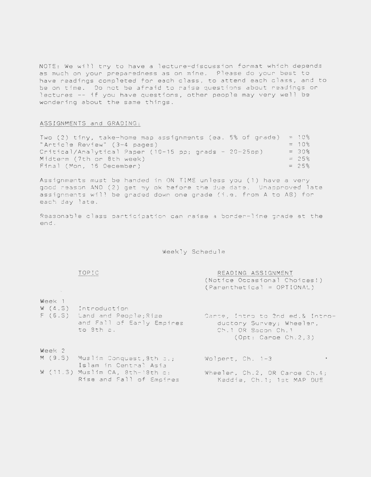NOTE: We will try to have a lecture-discussion format which depends as much on your preparedness as on mine. Please do your best to have readings completed for each class, to attend each class, and to be on time . Do net be afraid to raise questions about readings or lectures -- if you have questions, other people may very well be wondering about the same things.

### ASSIGNMENTS and GRADING:

Two (2) tiny, take-home map assignments (ea. 5% of grade) = 10% "Article Review" (3-4 pages) Critical/Analytical Paper (10-15 pp; grads - 20-25pp) Midterm (7th or 8th week)  $= 10\%$  $= 30%$  $= 25%$  $Final$  (Mon, 16 December)  $= 25\%$ 

Assignments must be handed in ON TIME unless you (1) have a very good reason AND (2) get my ok before the due date. Unapproved late assignments will be graded down one grade (i .e. from A to AB) for each day late.

Reasonable class participation can raise a border-line grade at the end.

Weekly Schedule

# **TOPIC**

READING ASSIGNMENT (Notice Occasional Choices!) (Parenthetical = OPTIONAL)

#### Week 1

W (4.S)  $F^{\top}$  (6.5) – tand and People;Rise ~ntroduction and Fall of Early Empires to 8th c. Carce, Intro to 2nd ed.& Introductory Survey; Wheeler, Ch .1 OR Bacon Ch. 1 (Opt: Caroe Ch.2,3)

# Week 2

- M (9.S) Muslim Conquest, 8th c.; Islam in Central Asia
- W (11.5) Muslim CA, 8th-18th c: Rise and Fall of Empires

Wolpert, Ch. 1-3

Wheeler, Ch.2, OR Caroe Ch.4; Keddie, Ch .l; 1st MAP DUE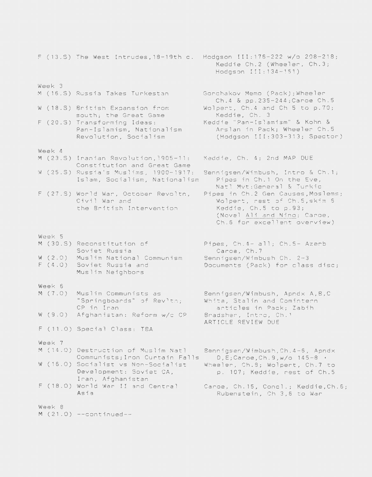F (13.S) The West Intrudes,18-19th c. Hodgson III:176-222 w/o 208-218; Week 3 <sup>M</sup>(16 .S) Russia Takes Turkestan W (18.S) British Expansion from south; the Great Game F (20.S) Transforming Ideas: Week 4 <sup>M</sup>(23.S) Iranian Revolution,l905-11: <sup>W</sup>(25.S) Russia's Muslims, 1900-1917: Pan-Islamism, Nationalism ,Revolution, Socialism Constitution and Great Game Islam, Socialism, Nationalism F (27.S) World War, October Revoltn, Civil War and Week 5 <sup>M</sup>(30.S) Reconstitution of w (2.0) Muslim National Communism <sup>F</sup>(4.0) Soviet Russia and Week 6 <sup>M</sup>(7.0) w (9.0) the British Intervention Soviet Russia Muslim Neighbors Muslim Communists as "Springboards" of Revlth; CP in Iran Afghanistan: Reform w/c CP F ( 11 . 0) Special Class: TBA Week 7 M (14.0) Destruction of Muslim Natl Communists;Iron Curtain Falls W (16.0) Socialist vs Non-Socialist Development: Soviet CA, Iran, Afghanistan F (18.0) World War II and Central Asia Week 8  $M(21.0)$  --continued--Keddie Ch.2 (Wheeler, Ch.3; Hodgson 111:134-161) Gorchakov Memo (Pack);Wheeler Ch.4 & pp.235-244;Caroe Ch.5 Wolpert, Ch.4 and Ch 5 to p.70; Keddie, Ch. 3 Keddie "Pan-Islamism" & Kohn & Arslan in Pack; Wheeler Ch.5 (Hodgson II1:303-313; Spector) Keddie, Ch. 4; 2nd MAP DUE 8ennigsen/Wimbush, Intra & Ch.1; Pipes in Ch.1 On the Eve, Natl Mvt:General & Turkic Pipes in Ch.2 Gen Causes,Moslems; Wolpert, rest of Ch.5,skim 6 Keddie, Ch.5 to p.93; (Novel Ali and Nino; Caroe, Ch.6 for excellent overview) Pipes, Ch.4- all; Ch.5- Azerb Caroe, Ch.7 Bennigsen/Wimbush Ch. 2-3 Documents (Pack) for class disc; Bennigsen/Wimbush, Apndx A,B,C White, Stalin and Comintern articles in Pack; Zabih Bradsher, Intra, Ch.1 ARTICLE REVIEW DUE Bennigsen/Wimbush,Ch.4-6, Apndx  $D, E$ ;Caroe,Ch.9,w/o 145-8  $\cdot$ Wheeler, Ch.8; Wolpert, Ch.7 to p. 107; Keddie, rest of Ch.5 Caroe, Ch.15, Concl.; Keddie,Ch.6; Rubenstein, Ch 3,6 to War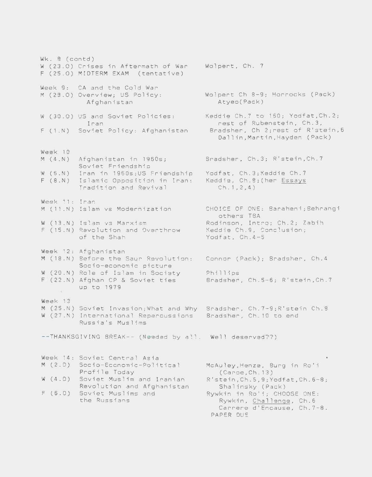Wk. 8 (contd) W (23.0) Crises in Aftermath of War Wolpert, Ch. 7 F (25.0) MIDTERM EXAM (tentative) Week 9: CA and the Cold War M (28.0) Overview; US Policy: Afghanistan W (30.0) US and Soviet Policies: <sup>F</sup>(1.N) Soviet Policy: Afghanistan Week 10 M (4.N) Afghanistan in 1960s; W (6.N) - Iran in 1960s;US Friendship - Yodfat, Ch.3;Keddie Ch.7 F (8.N) Islamic Opposition in Iran: Keddie, Ch.B;(her Essays Week 11: Iran M (11.N) Islam vs Modernization Iran Soviet Friendship Tradition and Revival W (13.N) Islam vs Marxism F (15.N) Revolution and Overthrow of the Shah Week 12: Afghanistan M (18.N) Before the Saur Revolution: Connor (Pack); Bradsher, Ch.4 Socio-economic picture W (20.N) Role of Islam in Society F (22.N) Afghan CP & Soviet ties up to 1979 Week 13 M (25.N) Soviet Invasion;What and Why Bradsher, Ch .7-9;R'stein Ch.8 W (27.N) International Repercussions Bradsher, Ch.10 to end Russia's Muslims --THANKSGIVING BREAK-- (Needed by all. Well deserved??) Week 14: Soviet Central Asia M (2.D) Socio-Economic-Political w (4.D) Soviet Muslim and Iranian F (6.D) Soviet Muslims and Profile Today Revolution and Afghanistan the Russians Wolpert Ch 8-9; Horrocks (Pack) Atyeo(Pack) Keddie Ch.7 to 160; Yodfat,Ch.2; rest of Rubenstein, Ch.3, Bradsher, Ch 2;rest of R'stein,6 Dallin,Martin,Hayden (Pack) Bradsher, Ch.3; R'stein,Ch.7  $Ch.1, 2, 4)$ CHOICE OF ONE: Baraheni;Behrangi others TBA Rodinson, Intra; Ch.2; Zabih Keddie Ch.9, Conclusion; Yodfat, Ch.4-5 Phillips Bradsher, Ch.S-6; R'stein,Ch.7 McAuley,Henze, Burg in Ro'i (Caroe,Ch.13) R'stein,Ch.5,9;Yodfat,Ch.6-8; Shalinsky (Pack) Rywkin in Ro'i; CHOOSE ONE: Rywkin, Challenge, Ch.6 Carrere d'Encause, Ch.7-8. PAPER DUE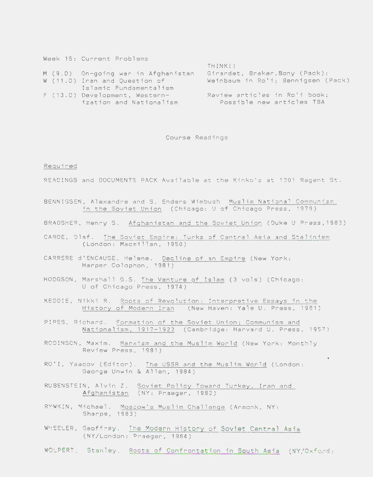|                        | THINK!!                                                                                                                                                         |
|------------------------|-----------------------------------------------------------------------------------------------------------------------------------------------------------------|
|                        | Girandet, Braker, Bony (Pack);                                                                                                                                  |
|                        | Weinbaum in Ro'i; Bennigsen (Pack)                                                                                                                              |
| Islamic Fundamentalism |                                                                                                                                                                 |
|                        | Raview articles in Ro'i book;                                                                                                                                   |
|                        | Possible new articles TBA                                                                                                                                       |
|                        | Week 15: Current Problems<br>M (9.0) On-going war in Afghanistan<br>W (11.0) Iran and Question of<br>$F(13.0)$ Development, Western-<br>ization and Nationalism |

## Course Readings

## Required

READINGS and DOCUMENTS PACK Available at the Kinko's at 1201 Regent St.

- BENNIGSEN, Alexandre and S. Enders Wimbush Muslim National Communism in the Soviet Union (Chicago: U of Chicago Press, 1979)
- BRADSHER, Henry S. Afghanistan and the Soviet Union (Duke U Press, 1983)
- CAROE, Olaf. The Soviet Empire: Turks of Central Asia and Stalinism (London: Macmillan, 1950)
- CARRERE d'ENCAUSE. Helene. Decline of an Empire (New York: Harper Colophon, 1981)
- HODGSON, Marshall G.S. The Venture of Islam (3 vols) (Chicago: U of Chicago Press, 1974)
- KEDDIE, Nikki R. Roots of Revolution: Interpretive Essays in the History of Modern Iran (New Haven: Yale U. Press, 1981)
- PIPES, Richard. Formation of the Soviet Union; Communism and Nationalism, 1917-1923 (Cambridge: Harvard U. Press, 1957 )
- RODINSON, Maxim. Marxism and the Muslim World (New York: Monthly Review Press, 1981)
- RO' I, Yaacov (Editor). The USSR and the Muslim World (London: George Unwin & Allen, 1984)
- RUBENSTEIN, Alvin Z. Soviet Policy Toward Turkey, Iran and Afghanistan (NY: Praeger, 1982)
- RYWKIN, Michael. Moscow's Muslim Challenge (Armonk, NY: Sharpe, 1983)
- WHEELER, Geoffrey. The Modern History of Soviet Central Asia (NY /London: Praeger, 1964)
- WOLPERT, Stanley. Roots of Confrontation in South Asia (NY/Oxford: